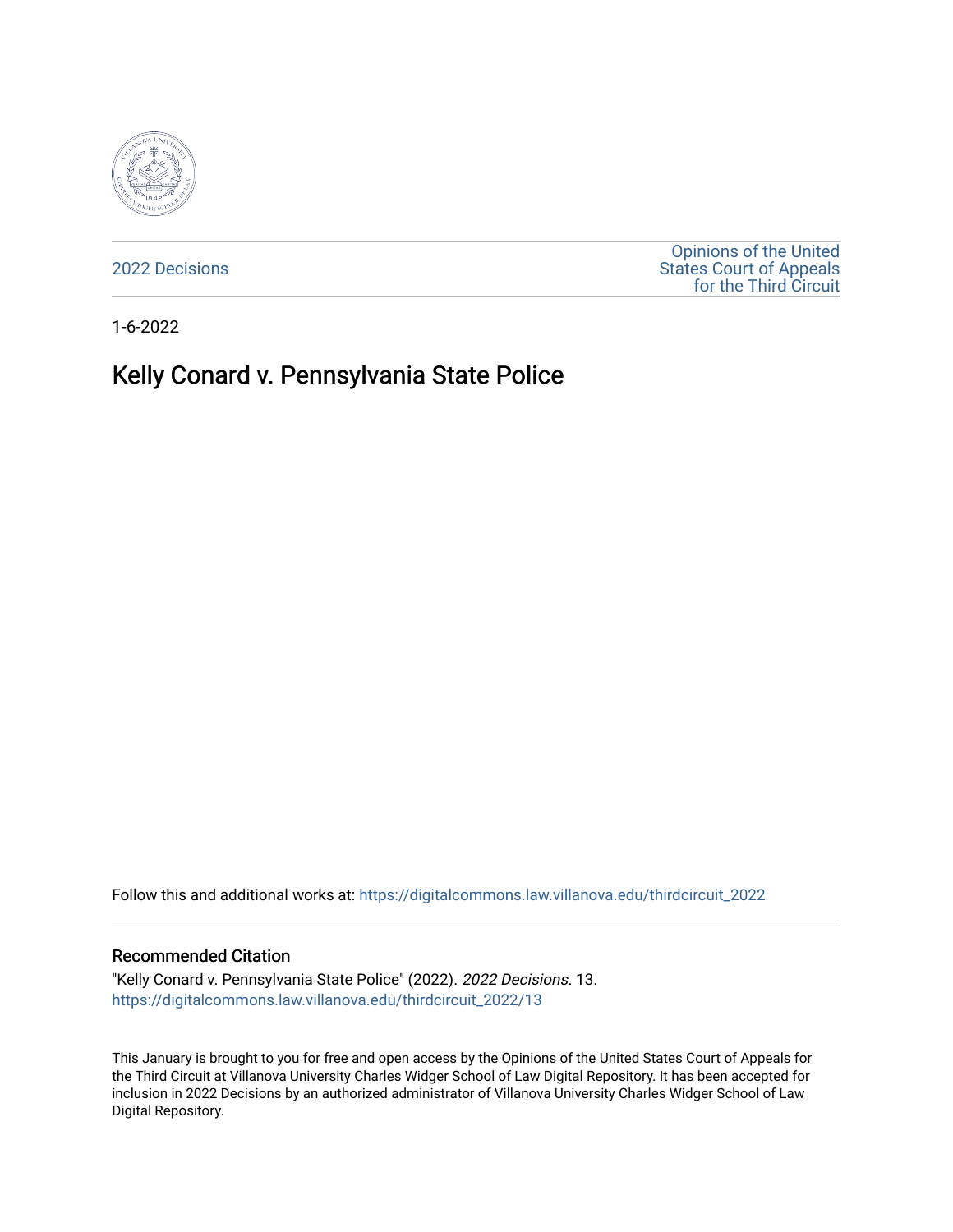

[2022 Decisions](https://digitalcommons.law.villanova.edu/thirdcircuit_2022)

[Opinions of the United](https://digitalcommons.law.villanova.edu/thirdcircuit)  [States Court of Appeals](https://digitalcommons.law.villanova.edu/thirdcircuit)  [for the Third Circuit](https://digitalcommons.law.villanova.edu/thirdcircuit) 

1-6-2022

# Kelly Conard v. Pennsylvania State Police

Follow this and additional works at: [https://digitalcommons.law.villanova.edu/thirdcircuit\\_2022](https://digitalcommons.law.villanova.edu/thirdcircuit_2022?utm_source=digitalcommons.law.villanova.edu%2Fthirdcircuit_2022%2F13&utm_medium=PDF&utm_campaign=PDFCoverPages) 

### Recommended Citation

"Kelly Conard v. Pennsylvania State Police" (2022). 2022 Decisions. 13. [https://digitalcommons.law.villanova.edu/thirdcircuit\\_2022/13](https://digitalcommons.law.villanova.edu/thirdcircuit_2022/13?utm_source=digitalcommons.law.villanova.edu%2Fthirdcircuit_2022%2F13&utm_medium=PDF&utm_campaign=PDFCoverPages)

This January is brought to you for free and open access by the Opinions of the United States Court of Appeals for the Third Circuit at Villanova University Charles Widger School of Law Digital Repository. It has been accepted for inclusion in 2022 Decisions by an authorized administrator of Villanova University Charles Widger School of Law Digital Repository.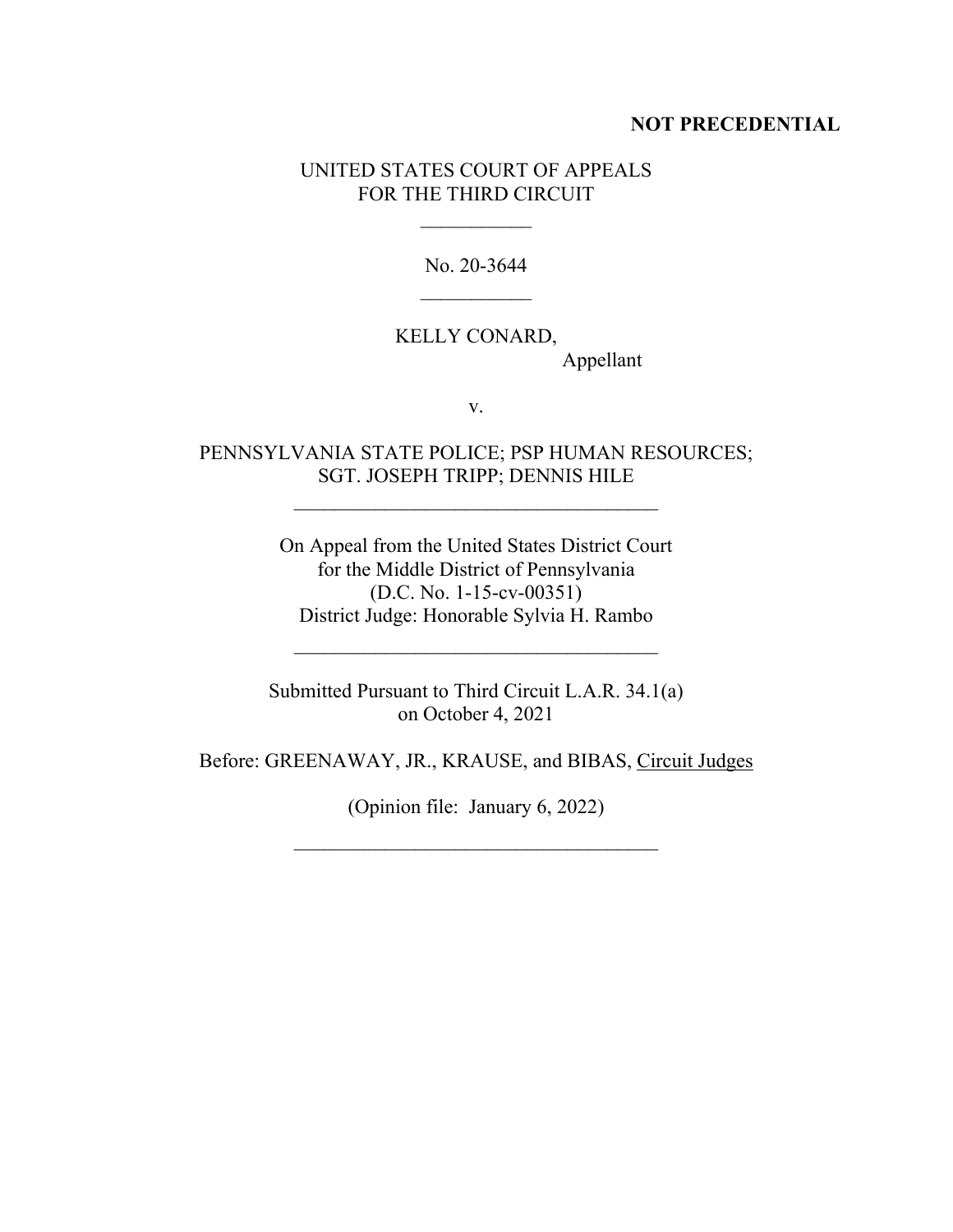## **NOT PRECEDENTIAL**

## UNITED STATES COURT OF APPEALS FOR THE THIRD CIRCUIT

No. 20-3644

# KELLY CONARD,

Appellant

v.

## PENNSYLVANIA STATE POLICE; PSP HUMAN RESOURCES; SGT. JOSEPH TRIPP; DENNIS HILE

On Appeal from the United States District Court for the Middle District of Pennsylvania (D.C. No. 1-15-cv-00351) District Judge: Honorable Sylvia H. Rambo

Submitted Pursuant to Third Circuit L.A.R. 34.1(a) on October 4, 2021

 $\mathcal{L}_\text{max}$ 

Before: GREENAWAY, JR., KRAUSE, and BIBAS, Circuit Judges

(Opinion file: January 6, 2022)

 $\mathcal{L}_\text{max}$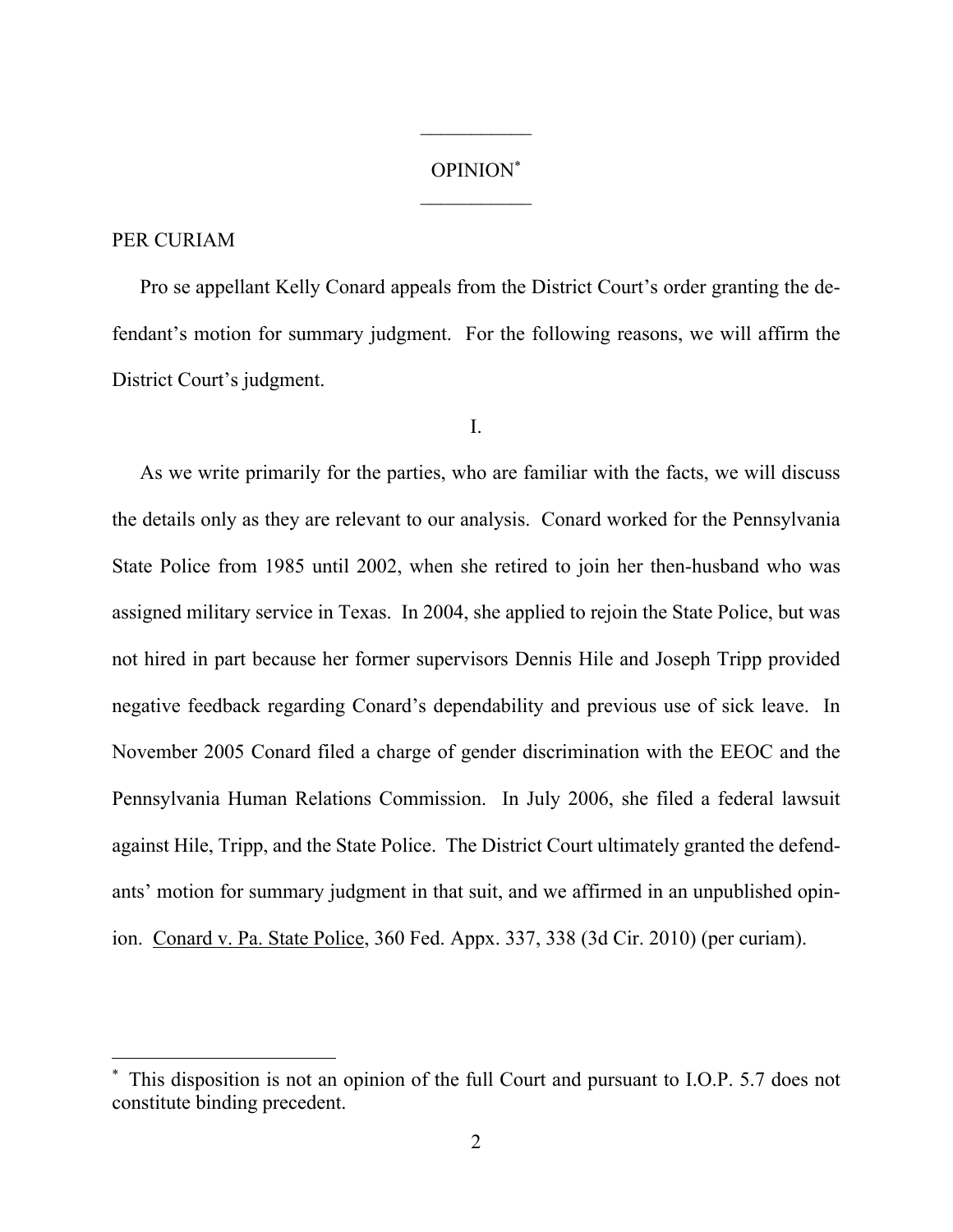## OPINION\*

 $\frac{1}{2}$ 

## PER CURIAM

Pro se appellant Kelly Conard appeals from the District Court's order granting the defendant's motion for summary judgment. For the following reasons, we will affirm the District Court's judgment.

I.

As we write primarily for the parties, who are familiar with the facts, we will discuss the details only as they are relevant to our analysis. Conard worked for the Pennsylvania State Police from 1985 until 2002, when she retired to join her then-husband who was assigned military service in Texas. In 2004, she applied to rejoin the State Police, but was not hired in part because her former supervisors Dennis Hile and Joseph Tripp provided negative feedback regarding Conard's dependability and previous use of sick leave. In November 2005 Conard filed a charge of gender discrimination with the EEOC and the Pennsylvania Human Relations Commission. In July 2006, she filed a federal lawsuit against Hile, Tripp, and the State Police. The District Court ultimately granted the defendants' motion for summary judgment in that suit, and we affirmed in an unpublished opinion. Conard v. Pa. State Police, 360 Fed. Appx. 337, 338 (3d Cir. 2010) (per curiam).

<sup>\*</sup> This disposition is not an opinion of the full Court and pursuant to I.O.P. 5.7 does not constitute binding precedent.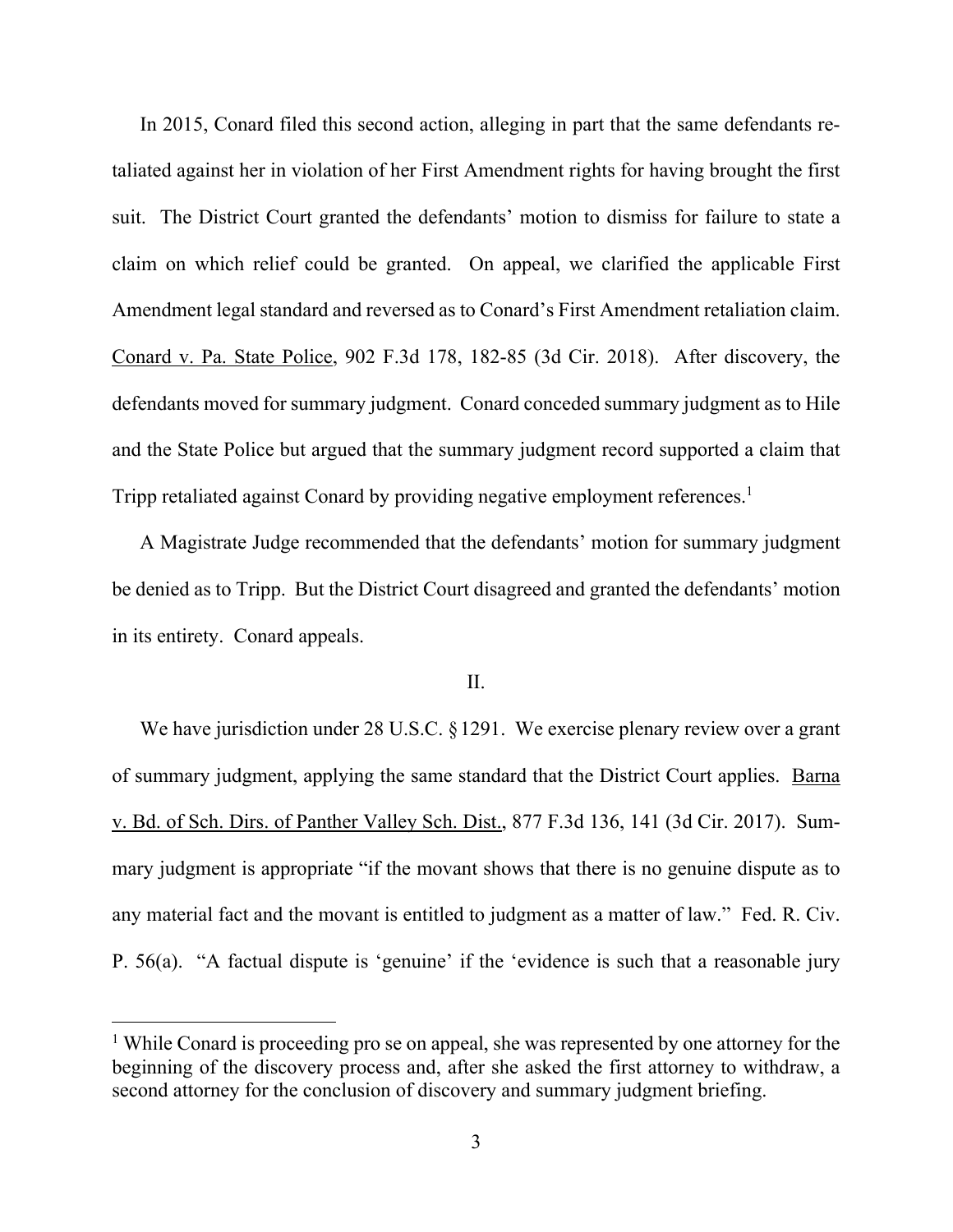In 2015, Conard filed this second action, alleging in part that the same defendants retaliated against her in violation of her First Amendment rights for having brought the first suit. The District Court granted the defendants' motion to dismiss for failure to state a claim on which relief could be granted. On appeal, we clarified the applicable First Amendment legal standard and reversed as to Conard's First Amendment retaliation claim. Conard v. Pa. State Police, 902 F.3d 178, 182-85 (3d Cir. 2018). After discovery, the defendants moved for summary judgment. Conard conceded summary judgment as to Hile and the State Police but argued that the summary judgment record supported a claim that Tripp retaliated against Conard by providing negative employment references.<sup>1</sup>

A Magistrate Judge recommended that the defendants' motion for summary judgment be denied as to Tripp. But the District Court disagreed and granted the defendants' motion in its entirety. Conard appeals.

### II.

We have jurisdiction under 28 U.S.C. § 1291. We exercise plenary review over a grant of summary judgment, applying the same standard that the District Court applies. Barna v. Bd. of Sch. Dirs. of Panther Valley Sch. Dist., 877 F.3d 136, 141 (3d Cir. 2017). Summary judgment is appropriate "if the movant shows that there is no genuine dispute as to any material fact and the movant is entitled to judgment as a matter of law." Fed. R. Civ. P. 56(a). "A factual dispute is 'genuine' if the 'evidence is such that a reasonable jury

<sup>&</sup>lt;sup>1</sup> While Conard is proceeding pro se on appeal, she was represented by one attorney for the beginning of the discovery process and, after she asked the first attorney to withdraw, a second attorney for the conclusion of discovery and summary judgment briefing.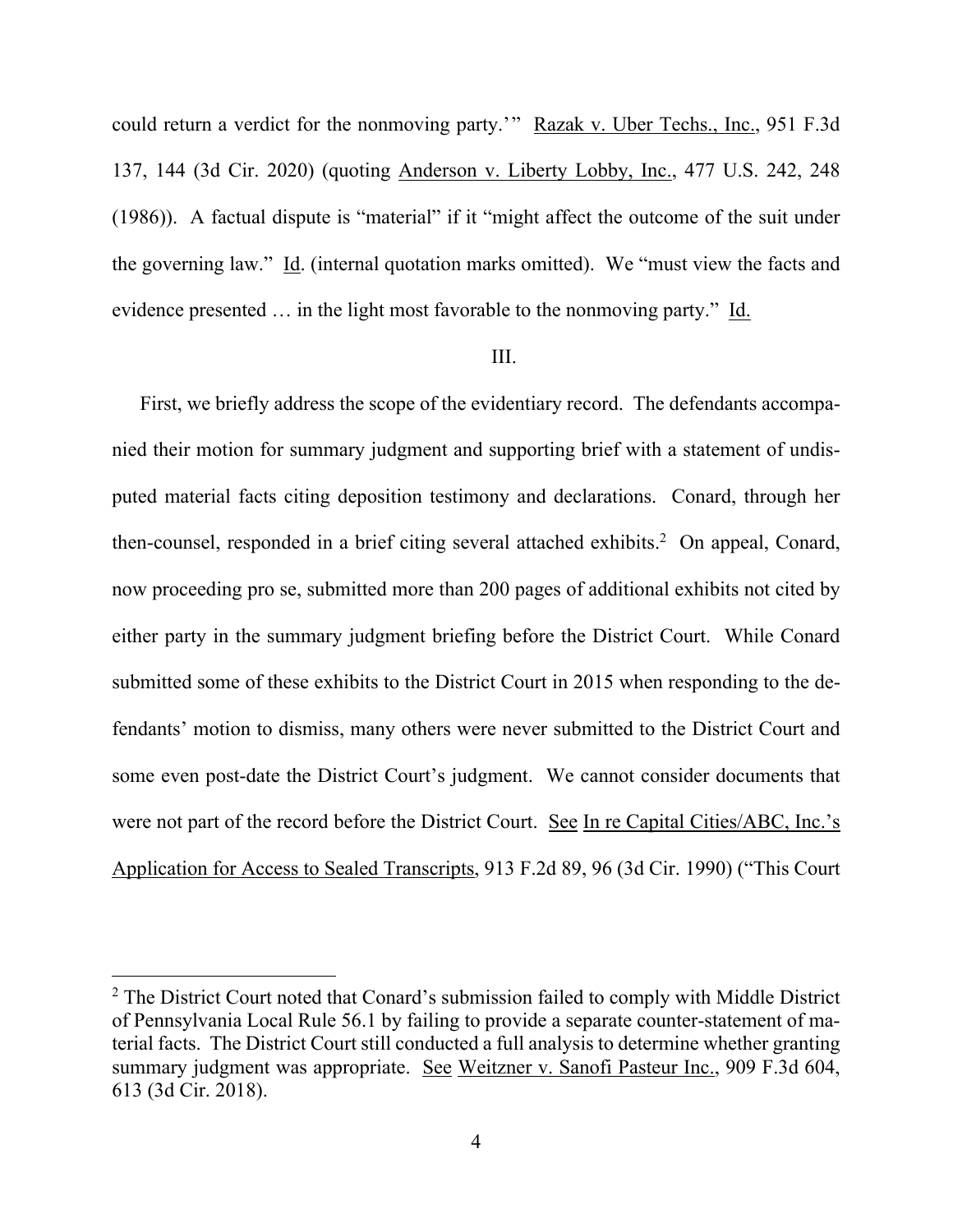could return a verdict for the nonmoving party.'" Razak v. Uber Techs., Inc., 951 F.3d 137, 144 (3d Cir. 2020) (quoting Anderson v. Liberty Lobby, Inc., 477 U.S. 242, 248 (1986)). A factual dispute is "material" if it "might affect the outcome of the suit under the governing law." Id. (internal quotation marks omitted). We "must view the facts and evidence presented … in the light most favorable to the nonmoving party." Id.

## III.

First, we briefly address the scope of the evidentiary record. The defendants accompanied their motion for summary judgment and supporting brief with a statement of undisputed material facts citing deposition testimony and declarations. Conard, through her then-counsel, responded in a brief citing several attached exhibits.<sup>2</sup> On appeal, Conard, now proceeding pro se, submitted more than 200 pages of additional exhibits not cited by either party in the summary judgment briefing before the District Court. While Conard submitted some of these exhibits to the District Court in 2015 when responding to the defendants' motion to dismiss, many others were never submitted to the District Court and some even post-date the District Court's judgment. We cannot consider documents that were not part of the record before the District Court. See In re Capital Cities/ABC, Inc.'s Application for Access to Sealed Transcripts, 913 F.2d 89, 96 (3d Cir. 1990) ("This Court

<sup>&</sup>lt;sup>2</sup> The District Court noted that Conard's submission failed to comply with Middle District of Pennsylvania Local Rule 56.1 by failing to provide a separate counter-statement of material facts. The District Court still conducted a full analysis to determine whether granting summary judgment was appropriate. See Weitzner v. Sanofi Pasteur Inc., 909 F.3d 604, 613 (3d Cir. 2018).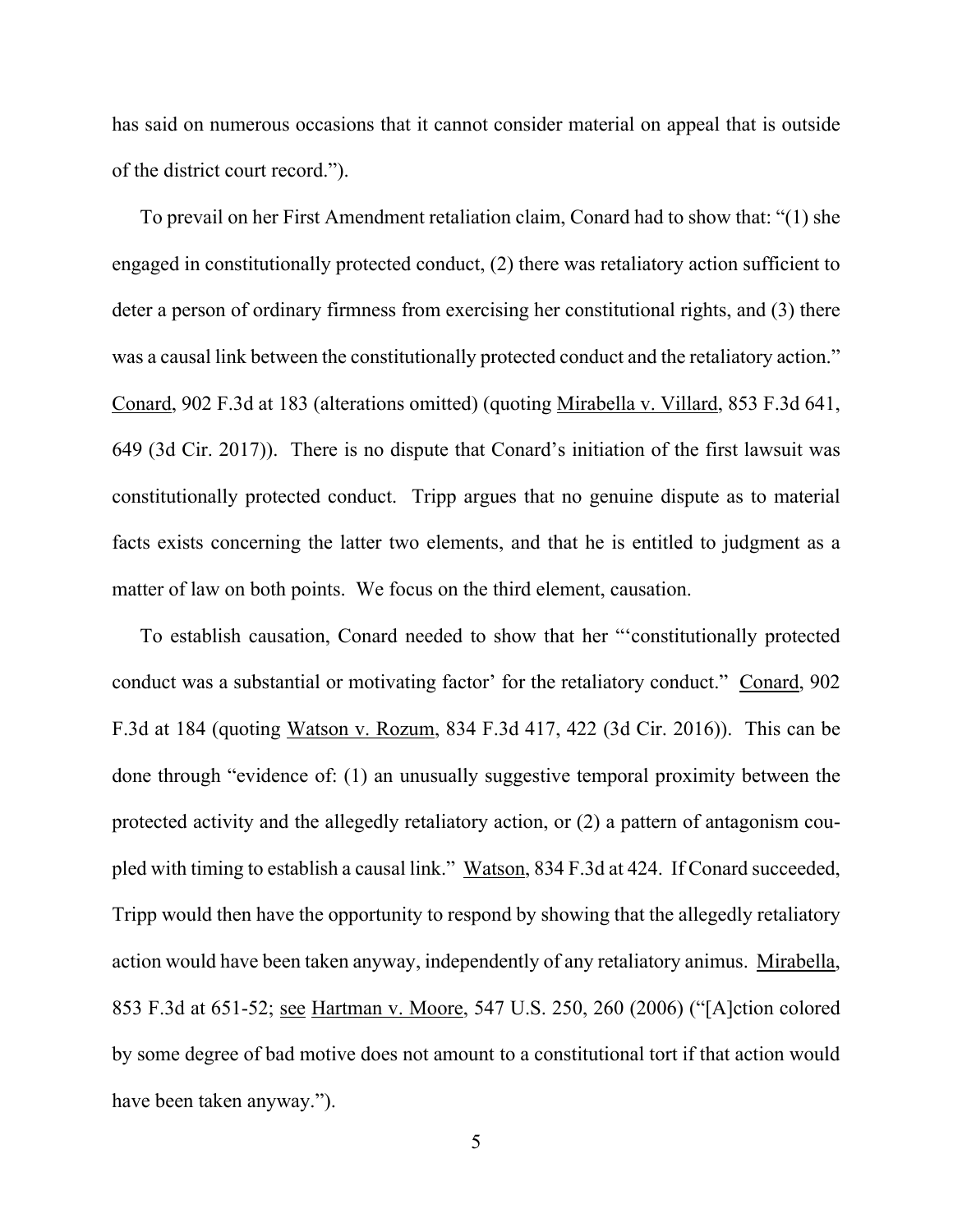has said on numerous occasions that it cannot consider material on appeal that is outside of the district court record.").

To prevail on her First Amendment retaliation claim, Conard had to show that: "(1) she engaged in constitutionally protected conduct, (2) there was retaliatory action sufficient to deter a person of ordinary firmness from exercising her constitutional rights, and (3) there was a causal link between the constitutionally protected conduct and the retaliatory action." Conard, 902 F.3d at 183 (alterations omitted) (quoting Mirabella v. Villard, 853 F.3d 641, 649 (3d Cir. 2017)). There is no dispute that Conard's initiation of the first lawsuit was constitutionally protected conduct. Tripp argues that no genuine dispute as to material facts exists concerning the latter two elements, and that he is entitled to judgment as a matter of law on both points. We focus on the third element, causation.

To establish causation, Conard needed to show that her "'constitutionally protected conduct was a substantial or motivating factor' for the retaliatory conduct." Conard, 902 F.3d at 184 (quoting Watson v. Rozum, 834 F.3d 417, 422 (3d Cir. 2016)). This can be done through "evidence of: (1) an unusually suggestive temporal proximity between the protected activity and the allegedly retaliatory action, or (2) a pattern of antagonism coupled with timing to establish a causal link." Watson, 834 F.3d at 424. If Conard succeeded, Tripp would then have the opportunity to respond by showing that the allegedly retaliatory action would have been taken anyway, independently of any retaliatory animus. Mirabella, 853 F.3d at 651-52; see Hartman v. Moore, 547 U.S. 250, 260 (2006) ("[A]ction colored by some degree of bad motive does not amount to a constitutional tort if that action would have been taken anyway.").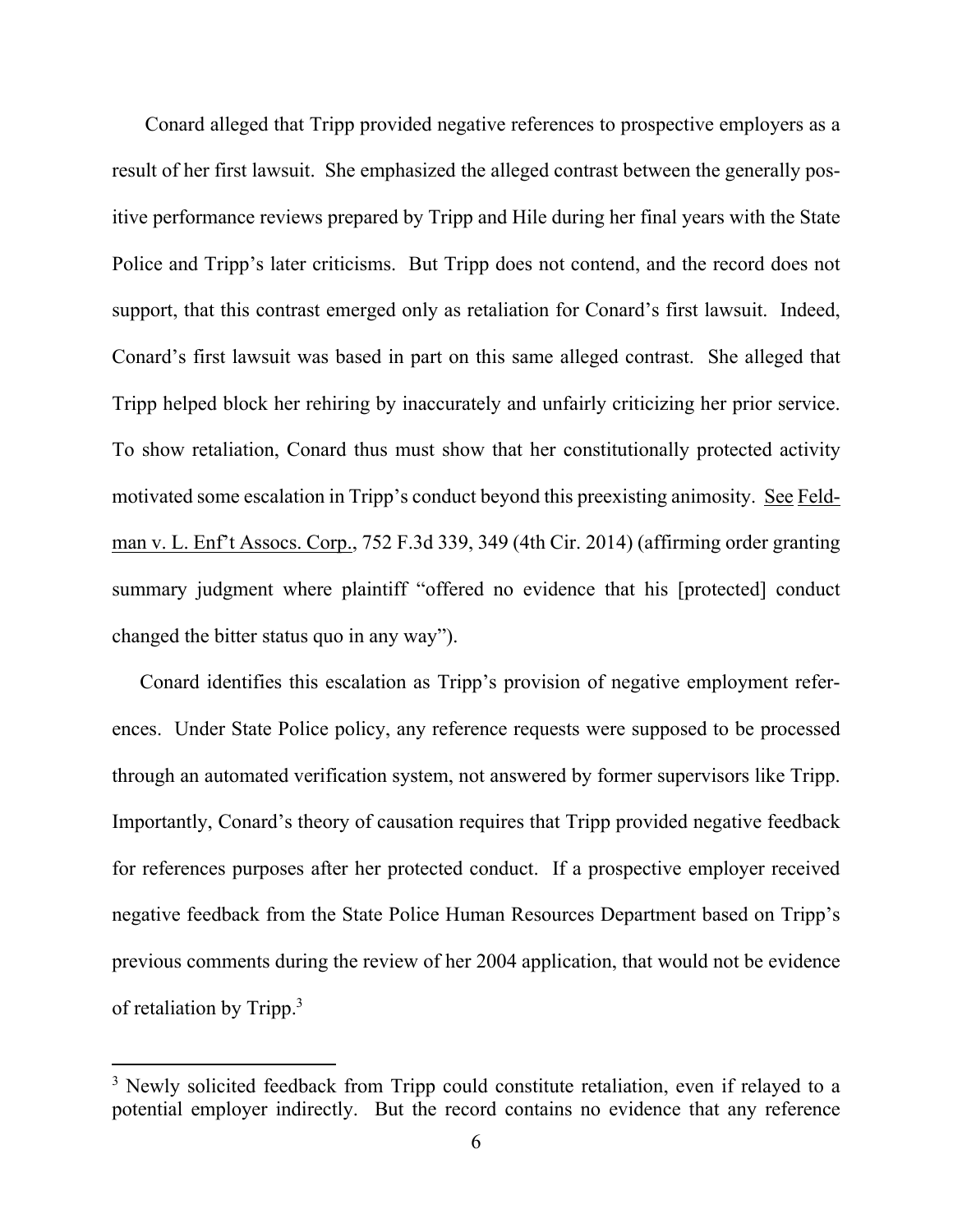Conard alleged that Tripp provided negative references to prospective employers as a result of her first lawsuit. She emphasized the alleged contrast between the generally positive performance reviews prepared by Tripp and Hile during her final years with the State Police and Tripp's later criticisms. But Tripp does not contend, and the record does not support, that this contrast emerged only as retaliation for Conard's first lawsuit. Indeed, Conard's first lawsuit was based in part on this same alleged contrast. She alleged that Tripp helped block her rehiring by inaccurately and unfairly criticizing her prior service. To show retaliation, Conard thus must show that her constitutionally protected activity motivated some escalation in Tripp's conduct beyond this preexisting animosity. See Feldman v. L. Enf't Assocs. Corp., 752 F.3d 339, 349 (4th Cir. 2014) (affirming order granting summary judgment where plaintiff "offered no evidence that his [protected] conduct changed the bitter status quo in any way").

Conard identifies this escalation as Tripp's provision of negative employment references. Under State Police policy, any reference requests were supposed to be processed through an automated verification system, not answered by former supervisors like Tripp. Importantly, Conard's theory of causation requires that Tripp provided negative feedback for references purposes after her protected conduct. If a prospective employer received negative feedback from the State Police Human Resources Department based on Tripp's previous comments during the review of her 2004 application, that would not be evidence of retaliation by Tripp.3

<sup>&</sup>lt;sup>3</sup> Newly solicited feedback from Tripp could constitute retaliation, even if relayed to a potential employer indirectly. But the record contains no evidence that any reference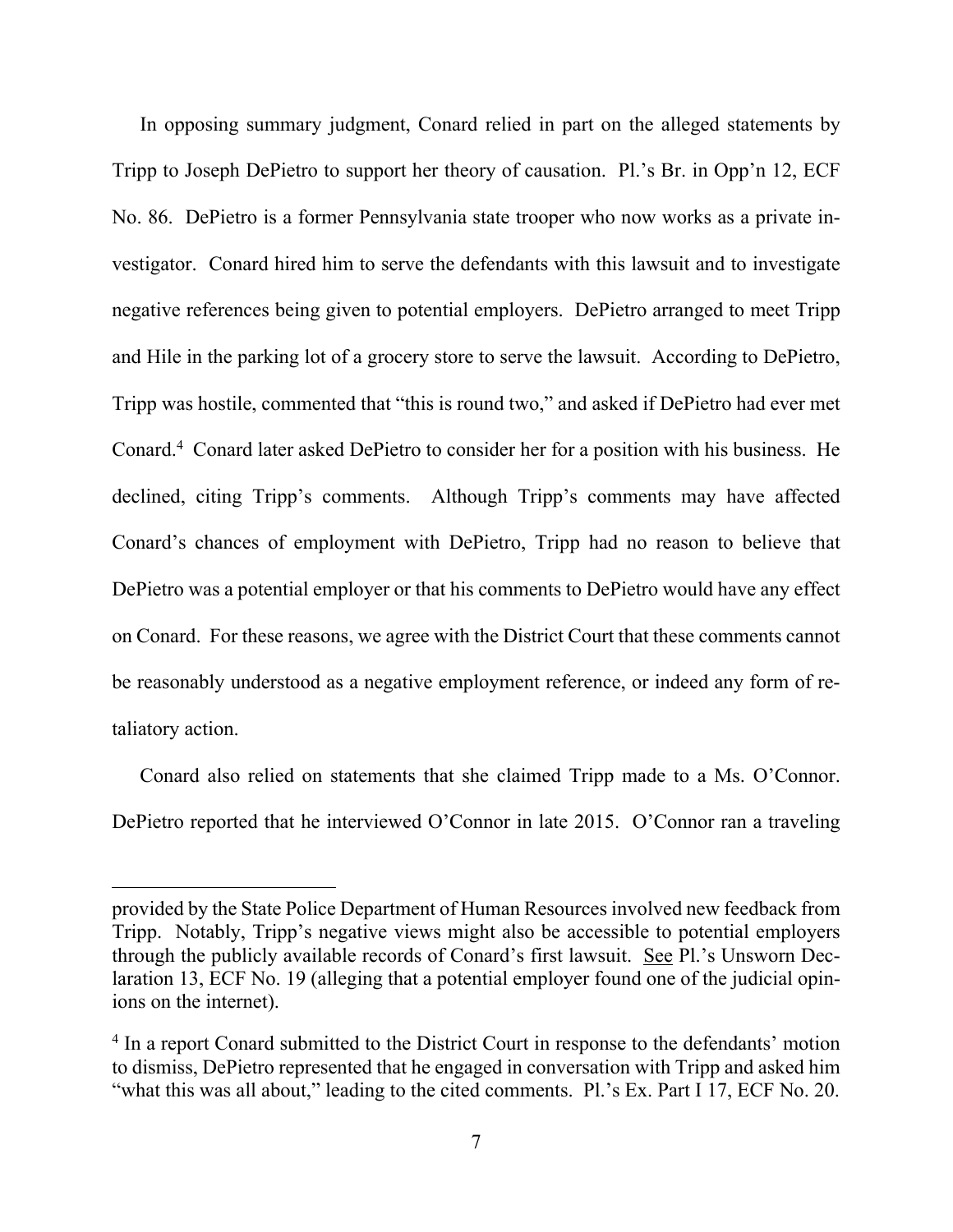In opposing summary judgment, Conard relied in part on the alleged statements by Tripp to Joseph DePietro to support her theory of causation. Pl.'s Br. in Opp'n 12, ECF No. 86. DePietro is a former Pennsylvania state trooper who now works as a private investigator. Conard hired him to serve the defendants with this lawsuit and to investigate negative references being given to potential employers. DePietro arranged to meet Tripp and Hile in the parking lot of a grocery store to serve the lawsuit. According to DePietro, Tripp was hostile, commented that "this is round two," and asked if DePietro had ever met Conard.<sup>4</sup> Conard later asked DePietro to consider her for a position with his business. He declined, citing Tripp's comments. Although Tripp's comments may have affected Conard's chances of employment with DePietro, Tripp had no reason to believe that DePietro was a potential employer or that his comments to DePietro would have any effect on Conard. For these reasons, we agree with the District Court that these comments cannot be reasonably understood as a negative employment reference, or indeed any form of retaliatory action.

Conard also relied on statements that she claimed Tripp made to a Ms. O'Connor. DePietro reported that he interviewed O'Connor in late 2015. O'Connor ran a traveling

provided by the State Police Department of Human Resources involved new feedback from Tripp. Notably, Tripp's negative views might also be accessible to potential employers through the publicly available records of Conard's first lawsuit. See Pl.'s Unsworn Declaration 13, ECF No. 19 (alleging that a potential employer found one of the judicial opinions on the internet).

<sup>&</sup>lt;sup>4</sup> In a report Conard submitted to the District Court in response to the defendants' motion to dismiss, DePietro represented that he engaged in conversation with Tripp and asked him "what this was all about," leading to the cited comments. Pl.'s Ex. Part I 17, ECF No. 20.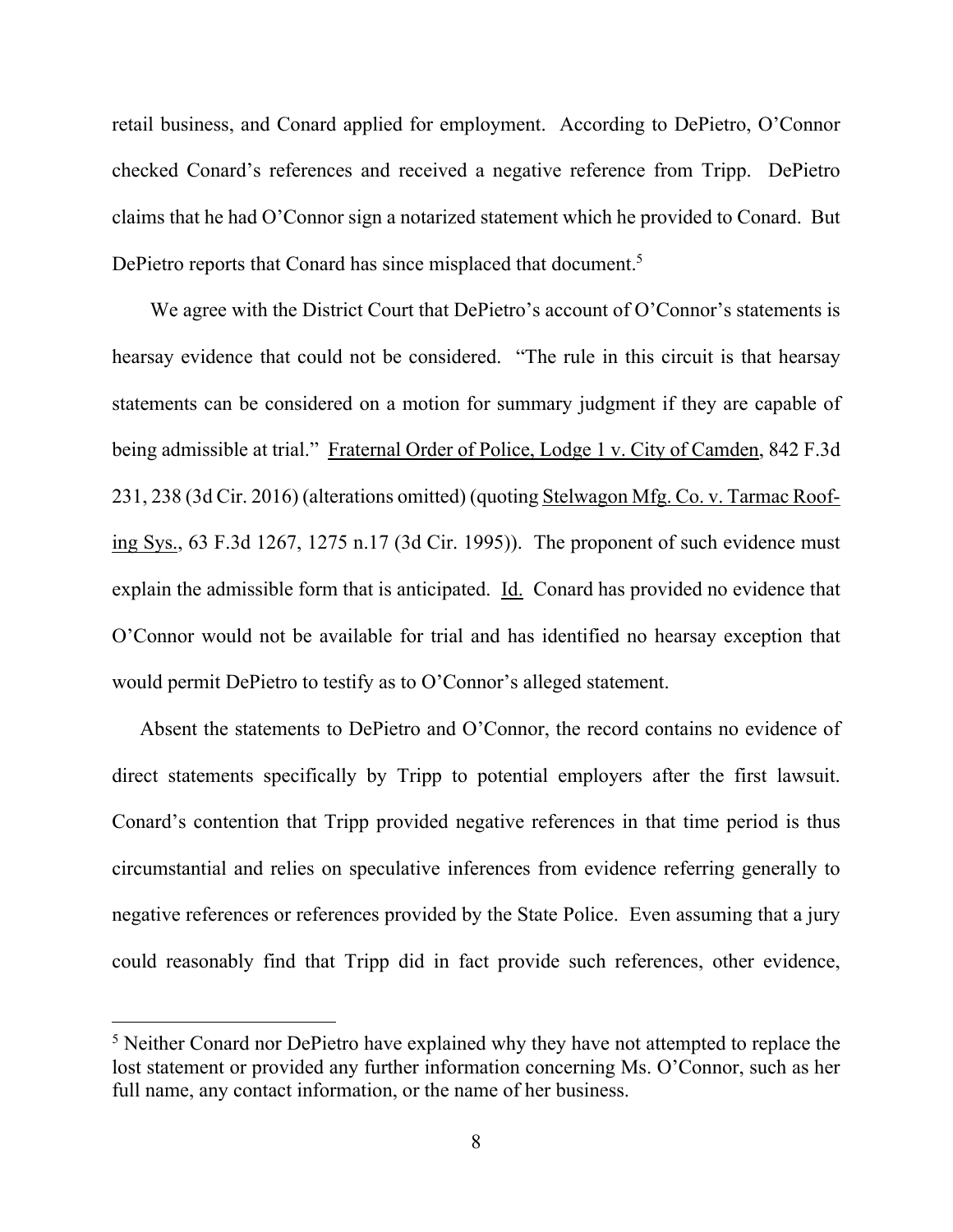retail business, and Conard applied for employment. According to DePietro, O'Connor checked Conard's references and received a negative reference from Tripp. DePietro claims that he had O'Connor sign a notarized statement which he provided to Conard. But DePietro reports that Conard has since misplaced that document.<sup>5</sup>

We agree with the District Court that DePietro's account of O'Connor's statements is hearsay evidence that could not be considered. "The rule in this circuit is that hearsay statements can be considered on a motion for summary judgment if they are capable of being admissible at trial." Fraternal Order of Police, Lodge 1 v. City of Camden, 842 F.3d 231, 238 (3d Cir. 2016) (alterations omitted) (quoting Stelwagon Mfg. Co. v. Tarmac Roofing Sys., 63 F.3d 1267, 1275 n.17 (3d Cir. 1995)). The proponent of such evidence must explain the admissible form that is anticipated. Id. Conard has provided no evidence that O'Connor would not be available for trial and has identified no hearsay exception that would permit DePietro to testify as to O'Connor's alleged statement.

Absent the statements to DePietro and O'Connor, the record contains no evidence of direct statements specifically by Tripp to potential employers after the first lawsuit. Conard's contention that Tripp provided negative references in that time period is thus circumstantial and relies on speculative inferences from evidence referring generally to negative references or references provided by the State Police. Even assuming that a jury could reasonably find that Tripp did in fact provide such references, other evidence,

<sup>&</sup>lt;sup>5</sup> Neither Conard nor DePietro have explained why they have not attempted to replace the lost statement or provided any further information concerning Ms. O'Connor, such as her full name, any contact information, or the name of her business.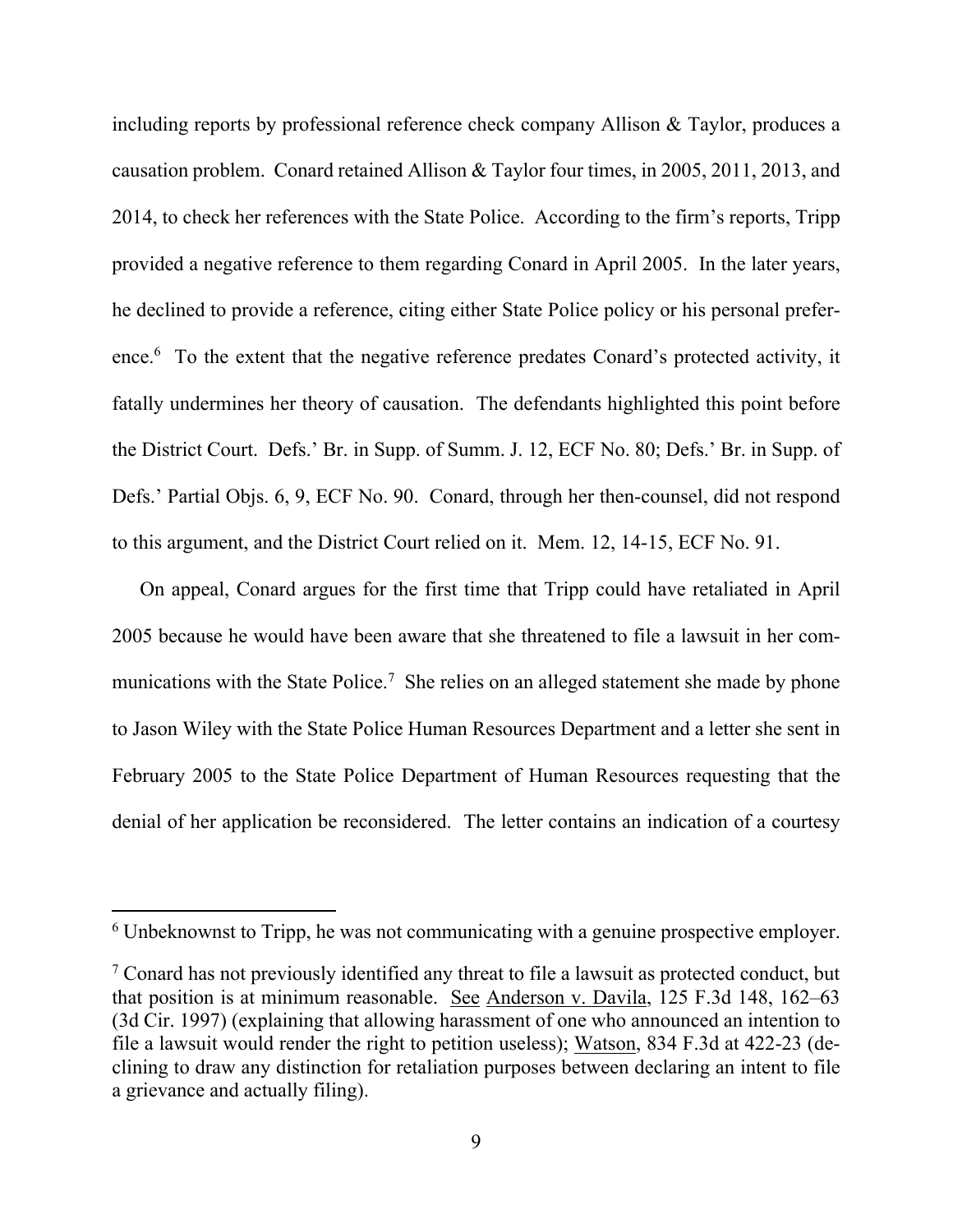including reports by professional reference check company Allison & Taylor, produces a causation problem. Conard retained Allison & Taylor four times, in 2005, 2011, 2013, and 2014, to check her references with the State Police. According to the firm's reports, Tripp provided a negative reference to them regarding Conard in April 2005. In the later years, he declined to provide a reference, citing either State Police policy or his personal preference.<sup>6</sup> To the extent that the negative reference predates Conard's protected activity, it fatally undermines her theory of causation. The defendants highlighted this point before the District Court. Defs.' Br. in Supp. of Summ. J. 12, ECF No. 80; Defs.' Br. in Supp. of Defs.' Partial Objs. 6, 9, ECF No. 90. Conard, through her then-counsel, did not respond to this argument, and the District Court relied on it. Mem. 12, 14-15, ECF No. 91.

On appeal, Conard argues for the first time that Tripp could have retaliated in April 2005 because he would have been aware that she threatened to file a lawsuit in her communications with the State Police.<sup>7</sup> She relies on an alleged statement she made by phone to Jason Wiley with the State Police Human Resources Department and a letter she sent in February 2005 to the State Police Department of Human Resources requesting that the denial of her application be reconsidered. The letter contains an indication of a courtesy

<sup>&</sup>lt;sup>6</sup> Unbeknownst to Tripp, he was not communicating with a genuine prospective employer.

 $7$  Conard has not previously identified any threat to file a lawsuit as protected conduct, but that position is at minimum reasonable. See Anderson v. Davila, 125 F.3d 148, 162–63 (3d Cir. 1997) (explaining that allowing harassment of one who announced an intention to file a lawsuit would render the right to petition useless); Watson, 834 F.3d at 422-23 (declining to draw any distinction for retaliation purposes between declaring an intent to file a grievance and actually filing).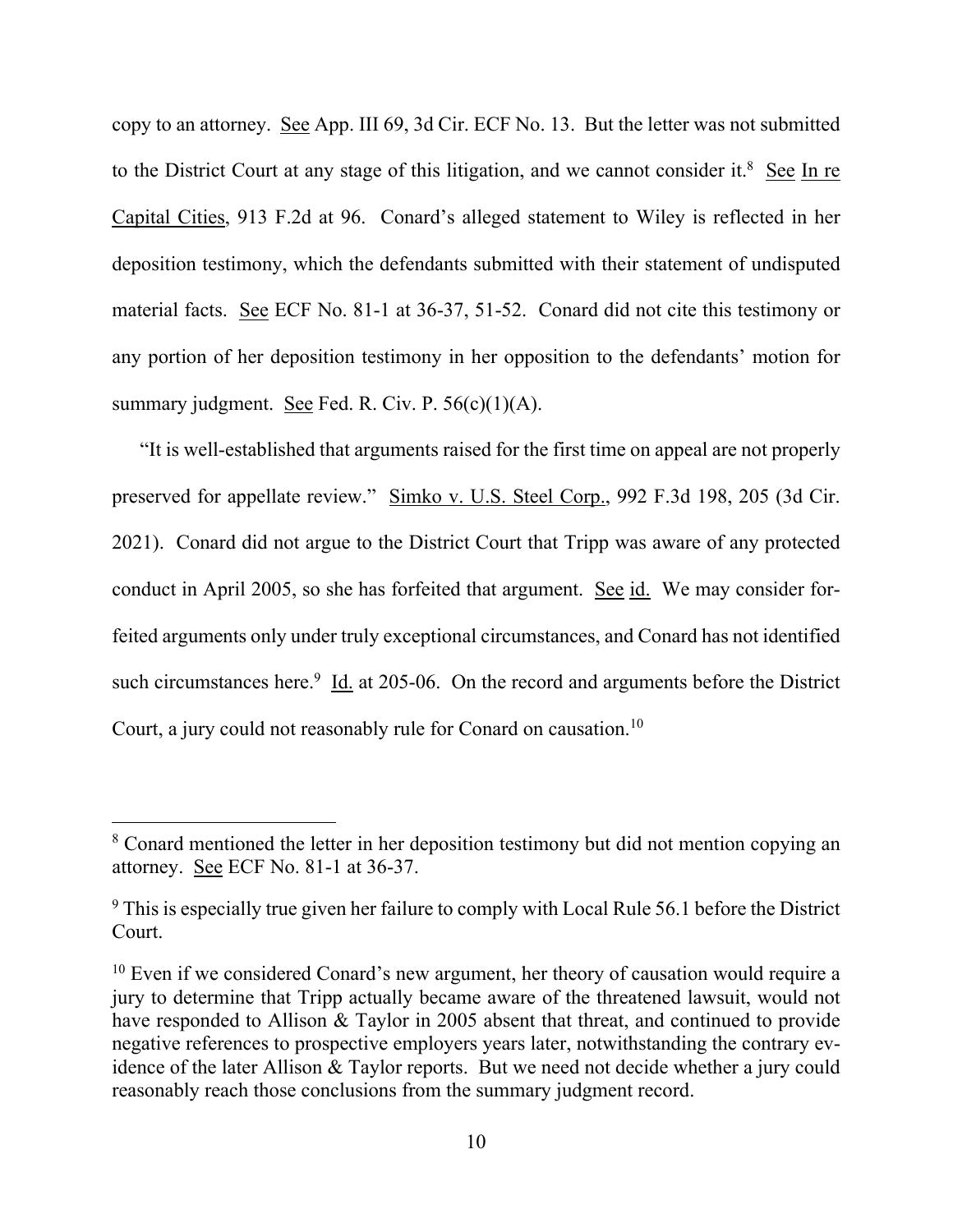copy to an attorney. See App. III 69, 3d Cir. ECF No. 13. But the letter was not submitted to the District Court at any stage of this litigation, and we cannot consider it.<sup>8</sup> See In re Capital Cities, 913 F.2d at 96. Conard's alleged statement to Wiley is reflected in her deposition testimony, which the defendants submitted with their statement of undisputed material facts. See ECF No. 81-1 at 36-37, 51-52. Conard did not cite this testimony or any portion of her deposition testimony in her opposition to the defendants' motion for summary judgment. See Fed. R. Civ. P.  $56(c)(1)(A)$ .

"It is well-established that arguments raised for the first time on appeal are not properly preserved for appellate review." Simko v. U.S. Steel Corp., 992 F.3d 198, 205 (3d Cir. 2021). Conard did not argue to the District Court that Tripp was aware of any protected conduct in April 2005, so she has forfeited that argument. See id. We may consider forfeited arguments only under truly exceptional circumstances, and Conard has not identified such circumstances here.<sup>9</sup> Id. at 205-06. On the record and arguments before the District Court, a jury could not reasonably rule for Conard on causation.10

<sup>&</sup>lt;sup>8</sup> Conard mentioned the letter in her deposition testimony but did not mention copying an attorney. See ECF No. 81-1 at 36-37.

 $9$  This is especially true given her failure to comply with Local Rule 56.1 before the District Court.

<sup>&</sup>lt;sup>10</sup> Even if we considered Conard's new argument, her theory of causation would require a jury to determine that Tripp actually became aware of the threatened lawsuit, would not have responded to Allison & Taylor in 2005 absent that threat, and continued to provide negative references to prospective employers years later, notwithstanding the contrary evidence of the later Allison & Taylor reports. But we need not decide whether a jury could reasonably reach those conclusions from the summary judgment record.